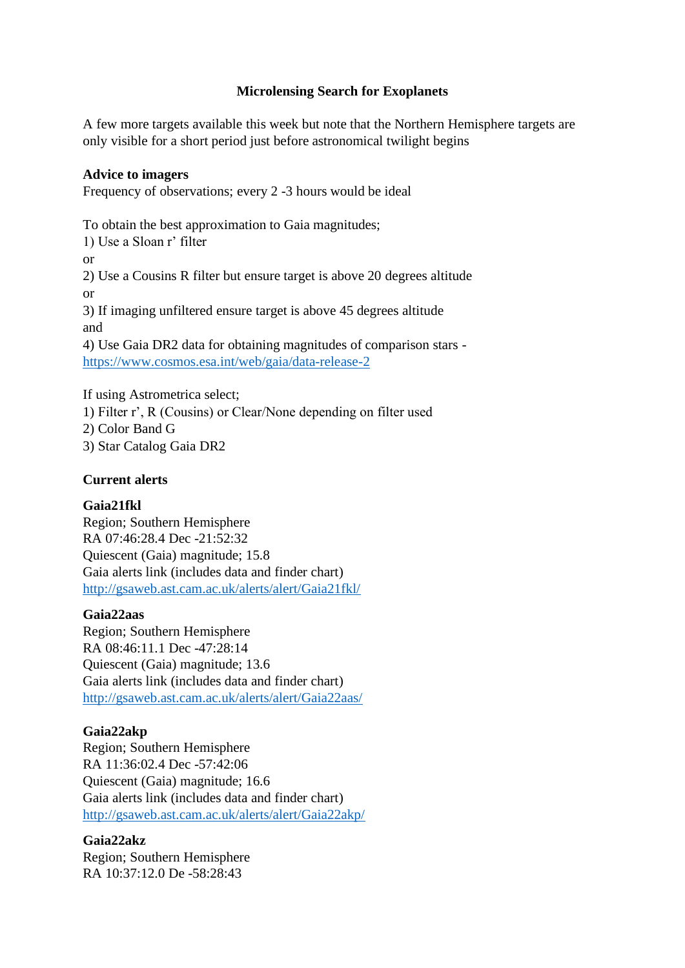# **Microlensing Search for Exoplanets**

A few more targets available this week but note that the Northern Hemisphere targets are only visible for a short period just before astronomical twilight begins

# **Advice to imagers**

Frequency of observations; every 2 -3 hours would be ideal

To obtain the best approximation to Gaia magnitudes; 1) Use a Sloan r' filter or 2) Use a Cousins R filter but ensure target is above 20 degrees altitude or 3) If imaging unfiltered ensure target is above 45 degrees altitude and 4) Use Gaia DR2 data for obtaining magnitudes of comparison stars <https://www.cosmos.esa.int/web/gaia/data-release-2>

If using Astrometrica select; 1) Filter r', R (Cousins) or Clear/None depending on filter used 2) Color Band G 3) Star Catalog Gaia DR2

# **Current alerts**

# **Gaia21fkl**

Region; Southern Hemisphere RA 07:46:28.4 Dec -21:52:32 Quiescent (Gaia) magnitude; 15.8 Gaia alerts link (includes data and finder chart) <http://gsaweb.ast.cam.ac.uk/alerts/alert/Gaia21fkl/>

# **Gaia22aas**

Region; Southern Hemisphere RA 08:46:11.1 Dec -47:28:14 Quiescent (Gaia) magnitude; 13.6 Gaia alerts link (includes data and finder chart) <http://gsaweb.ast.cam.ac.uk/alerts/alert/Gaia22aas/>

# **Gaia22akp**

Region; Southern Hemisphere RA 11:36:02.4 Dec -57:42:06 Quiescent (Gaia) magnitude; 16.6 Gaia alerts link (includes data and finder chart) <http://gsaweb.ast.cam.ac.uk/alerts/alert/Gaia22akp/>

# **Gaia22akz**

Region; Southern Hemisphere RA 10:37:12.0 De -58:28:43